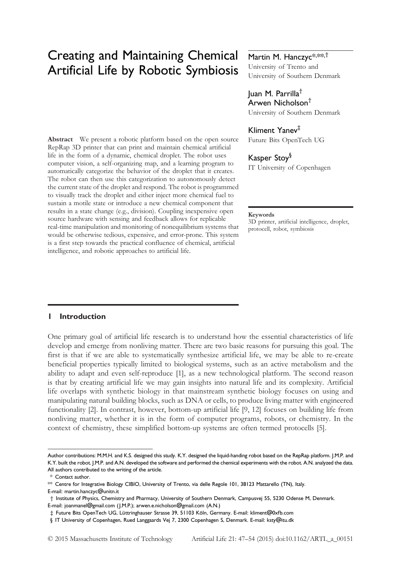# Creating and Maintaining Chemical Artificial Life by Robotic Symbiosis

Abstract We present a robotic platform based on the open source RepRap 3D printer that can print and maintain chemical artificial life in the form of a dynamic, chemical droplet. The robot uses computer vision, a self-organizing map, and a learning program to automatically categorize the behavior of the droplet that it creates. The robot can then use this categorization to autonomously detect the current state of the droplet and respond. The robot is programmed to visually track the droplet and either inject more chemical fuel to sustain a motile state or introduce a new chemical component that results in a state change (e.g., division). Coupling inexpensive open source hardware with sensing and feedback allows for replicable real-time manipulation and monitoring of nonequilibrium systems that would be otherwise tedious, expensive, and error-prone. This system is a first step towards the practical confluence of chemical, artificial intelligence, and robotic approaches to artificial life.

## Martin M. Hanczyc\*,\*\*,<sup>†</sup>

University of Trento and University of Southern Denmark

### Juan M. Parrilla† Arwen Nicholson†

University of Southern Denmark

#### Kliment Yanev‡

Future Bits OpenTech UG

## Kasper Stoy§

IT University of Copenhagen

#### Keywords

3D printer, artificial intelligence, droplet, protocell, robot, symbiosis

#### 1 Introduction

One primary goal of artificial life research is to understand how the essential characteristics of life develop and emerge from nonliving matter. There are two basic reasons for pursuing this goal. The first is that if we are able to systematically synthesize artificial life, we may be able to re-create beneficial properties typically limited to biological systems, such as an active metabolism and the ability to adapt and even self-reproduce [1], as a new technological platform. The second reason is that by creating artificial life we may gain insights into natural life and its complexity. Artificial life overlaps with synthetic biology in that mainstream synthetic biology focuses on using and manipulating natural building blocks, such as DNA or cells, to produce living matter with engineered functionality [2]. In contrast, however, bottom-up artificial life [9, 12] focuses on building life from nonliving matter, whether it is in the form of computer programs, robots, or chemistry. In the context of chemistry, these simplified bottom-up systems are often termed protocells [5].

Author contributions: M.M.H. and K.S. designed this study. K.Y. designed the liquid-handing robot based on the RepRap platform. J.M.P. and K.Y. built the robot. J.M.P. and A.N. developed the software and performed the chemical experiments with the robot. A.N. analyzed the data. All authors contributed to the writing of the article.

<sup>\*</sup> Contact author.

<sup>\*\*</sup> Centre for Integrative Biology CIBIO, University of Trento, via delle Regole 101, 38123 Mattarello (TN), Italy. E-mail: martin.hanczyc@unitn.it

<sup>†</sup> Institute of Physics, Chemistry and Pharmacy, University of Southern Denmark, Campusvej 55, 5230 Odense M, Denmark. E-mail: joanmanel@gmail.com (J.M.P.); arwen.e.nicholson@gmail.com (A.N.)

<sup>‡</sup> Future Bits OpenTech UG, Lüttringhauser Strasse 39, 51103 Köln, Germany. E-mail: kliment@0xfb.com

<sup>§</sup> IT University of Copenhagen, Rued Langgaards Vej 7, 2300 Copenhagen S, Denmark. E-mail: ksty@itu.dk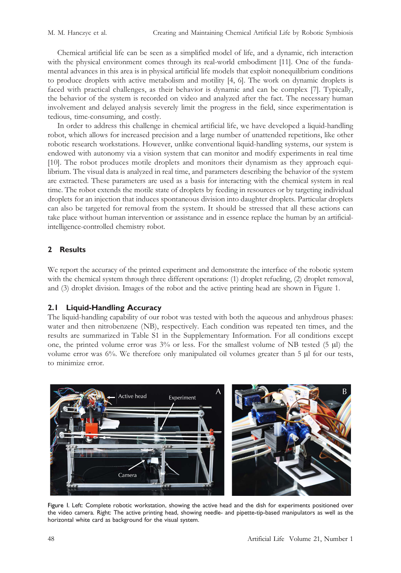Chemical artificial life can be seen as a simplified model of life, and a dynamic, rich interaction with the physical environment comes through its real-world embodiment [11]. One of the fundamental advances in this area is in physical artificial life models that exploit nonequilibrium conditions to produce droplets with active metabolism and motility [4, 6]. The work on dynamic droplets is faced with practical challenges, as their behavior is dynamic and can be complex [7]. Typically, the behavior of the system is recorded on video and analyzed after the fact. The necessary human involvement and delayed analysis severely limit the progress in the field, since experimentation is tedious, time-consuming, and costly.

In order to address this challenge in chemical artificial life, we have developed a liquid-handling robot, which allows for increased precision and a large number of unattended repetitions, like other robotic research workstations. However, unlike conventional liquid-handling systems, our system is endowed with autonomy via a vision system that can monitor and modify experiments in real time [10]. The robot produces motile droplets and monitors their dynamism as they approach equilibrium. The visual data is analyzed in real time, and parameters describing the behavior of the system are extracted. These parameters are used as a basis for interacting with the chemical system in real time. The robot extends the motile state of droplets by feeding in resources or by targeting individual droplets for an injection that induces spontaneous division into daughter droplets. Particular droplets can also be targeted for removal from the system. It should be stressed that all these actions can take place without human intervention or assistance and in essence replace the human by an artificialintelligence-controlled chemistry robot.

## 2 Results

We report the accuracy of the printed experiment and demonstrate the interface of the robotic system with the chemical system through three different operations: (1) droplet refueling, (2) droplet removal, and (3) droplet division. Images of the robot and the active printing head are shown in Figure 1.

## 2.1 Liquid-Handling Accuracy

The liquid-handling capability of our robot was tested with both the aqueous and anhydrous phases: water and then nitrobenzene (NB), respectively. Each condition was repeated ten times, and the results are summarized in Table S1 in the Supplementary Information. For all conditions except one, the printed volume error was  $3\%$  or less. For the smallest volume of NB tested (5  $\mu$ l) the volume error was  $6\%$ . We therefore only manipulated oil volumes greater than  $5 \mu$  for our tests, to minimize error.



Figure 1. Left: Complete robotic workstation, showing the active head and the dish for experiments positioned over the video camera. Right: The active printing head, showing needle- and pipette-tip-based manipulators as well as the horizontal white card as background for the visual system.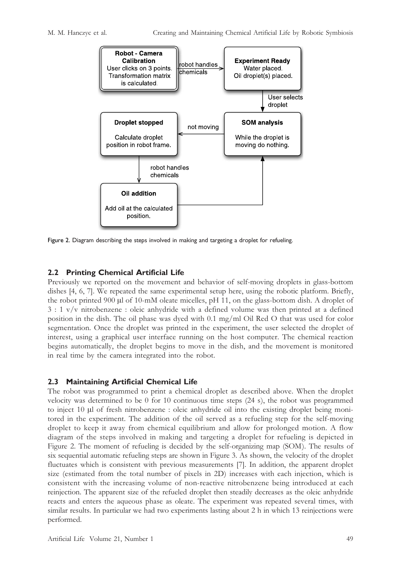

Figure 2. Diagram describing the steps involved in making and targeting a droplet for refueling.

## 2.2 Printing Chemical Artificial Life

Previously we reported on the movement and behavior of self-moving droplets in glass-bottom dishes [4, 6, 7]. We repeated the same experimental setup here, using the robotic platform. Briefly, the robot printed 900 µl of 10-mM oleate micelles, pH 11, on the glass-bottom dish. A droplet of 3 : 1 v/v nitrobenzene : oleic anhydride with a defined volume was then printed at a defined position in the dish. The oil phase was dyed with 0.1 mg/ml Oil Red O that was used for color segmentation. Once the droplet was printed in the experiment, the user selected the droplet of interest, using a graphical user interface running on the host computer. The chemical reaction begins automatically, the droplet begins to move in the dish, and the movement is monitored in real time by the camera integrated into the robot.

## 2.3 Maintaining Artificial Chemical Life

The robot was programmed to print a chemical droplet as described above. When the droplet velocity was determined to be 0 for 10 continuous time steps (24 s), the robot was programmed to inject 10 µl of fresh nitrobenzene : oleic anhydride oil into the existing droplet being monitored in the experiment. The addition of the oil served as a refueling step for the self-moving droplet to keep it away from chemical equilibrium and allow for prolonged motion. A flow diagram of the steps involved in making and targeting a droplet for refueling is depicted in Figure 2. The moment of refueling is decided by the self-organizing map (SOM). The results of six sequential automatic refueling steps are shown in Figure 3. As shown, the velocity of the droplet fluctuates which is consistent with previous measurements [7]. In addition, the apparent droplet size (estimated from the total number of pixels in 2D) increases with each injection, which is consistent with the increasing volume of non-reactive nitrobenzene being introduced at each reinjection. The apparent size of the refueled droplet then steadily decreases as the oleic anhydride reacts and enters the aqueous phase as oleate. The experiment was repeated several times, with similar results. In particular we had two experiments lasting about 2 h in which 13 reinjections were performed.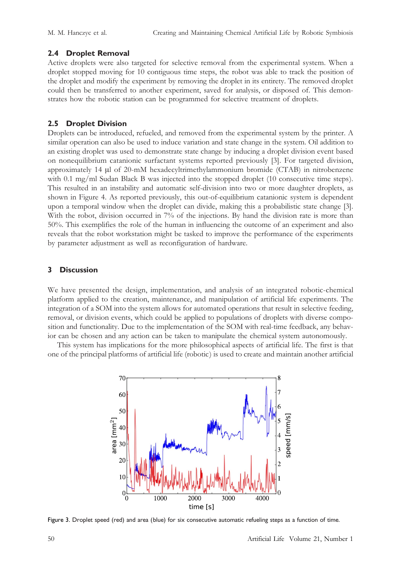## 2.4 Droplet Removal

Active droplets were also targeted for selective removal from the experimental system. When a droplet stopped moving for 10 contiguous time steps, the robot was able to track the position of the droplet and modify the experiment by removing the droplet in its entirety. The removed droplet could then be transferred to another experiment, saved for analysis, or disposed of. This demonstrates how the robotic station can be programmed for selective treatment of droplets.

## 2.5 Droplet Division

Droplets can be introduced, refueled, and removed from the experimental system by the printer. A similar operation can also be used to induce variation and state change in the system. Oil addition to an existing droplet was used to demonstrate state change by inducing a droplet division event based on nonequilibrium catanionic surfactant systems reported previously [3]. For targeted division, approximately  $14 \mu$  of  $20\text{-m}$ M hexadecyltrimethylammonium bromide (CTAB) in nitrobenzene with 0.1 mg/ml Sudan Black B was injected into the stopped droplet (10 consecutive time steps). This resulted in an instability and automatic self-division into two or more daughter droplets, as shown in Figure 4. As reported previously, this out-of-equilibrium catanionic system is dependent upon a temporal window when the droplet can divide, making this a probabilistic state change [3]. With the robot, division occurred in 7% of the injections. By hand the division rate is more than 50%. This exemplifies the role of the human in influencing the outcome of an experiment and also reveals that the robot workstation might be tasked to improve the performance of the experiments by parameter adjustment as well as reconfiguration of hardware.

## 3 Discussion

We have presented the design, implementation, and analysis of an integrated robotic-chemical platform applied to the creation, maintenance, and manipulation of artificial life experiments. The integration of a SOM into the system allows for automated operations that result in selective feeding, removal, or division events, which could be applied to populations of droplets with diverse composition and functionality. Due to the implementation of the SOM with real-time feedback, any behavior can be chosen and any action can be taken to manipulate the chemical system autonomously.

This system has implications for the more philosophical aspects of artificial life. The first is that one of the principal platforms of artificial life (robotic) is used to create and maintain another artificial



Figure 3. Droplet speed (red) and area (blue) for six consecutive automatic refueling steps as a function of time.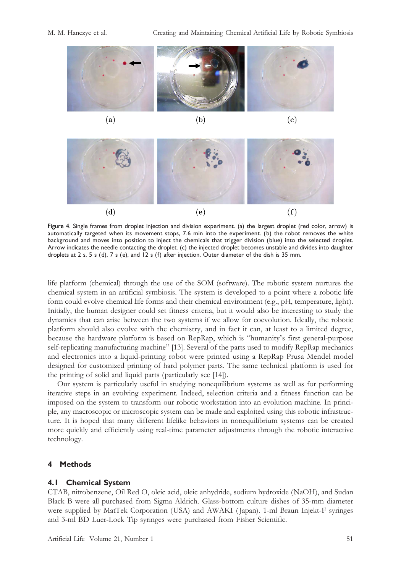



Figure 4. Single frames from droplet injection and division experiment. (a) the largest droplet (red color, arrow) is automatically targeted when its movement stops, 7.6 min into the experiment. (b) the robot removes the white background and moves into position to inject the chemicals that trigger division (blue) into the selected droplet. Arrow indicates the needle contacting the droplet. (c) the injected droplet becomes unstable and divides into daughter droplets at 2 s, 5 s (d), 7 s (e), and 12 s (f) after injection. Outer diameter of the dish is 35 mm.

life platform (chemical) through the use of the SOM (software). The robotic system nurtures the chemical system in an artificial symbiosis. The system is developed to a point where a robotic life form could evolve chemical life forms and their chemical environment (e.g., pH, temperature, light). Initially, the human designer could set fitness criteria, but it would also be interesting to study the dynamics that can arise between the two systems if we allow for coevolution. Ideally, the robotic platform should also evolve with the chemistry, and in fact it can, at least to a limited degree, because the hardware platform is based on RepRap, which is "humanity's first general-purpose self-replicating manufacturing machine" [13]. Several of the parts used to modify RepRap mechanics and electronics into a liquid-printing robot were printed using a RepRap Prusa Mendel model designed for customized printing of hard polymer parts. The same technical platform is used for the printing of solid and liquid parts (particularly see [14]).

Our system is particularly useful in studying nonequilibrium systems as well as for performing iterative steps in an evolving experiment. Indeed, selection criteria and a fitness function can be imposed on the system to transform our robotic workstation into an evolution machine. In principle, any macroscopic or microscopic system can be made and exploited using this robotic infrastructure. It is hoped that many different lifelike behaviors in nonequilibrium systems can be created more quickly and efficiently using real-time parameter adjustments through the robotic interactive technology.

## 4 Methods

#### 4.1 Chemical System

CTAB, nitrobenzene, Oil Red O, oleic acid, oleic anhydride, sodium hydroxide (NaOH), and Sudan Black B were all purchased from Sigma Aldrich. Glass-bottom culture dishes of 35-mm diameter were supplied by MatTek Corporation (USA) and AWAKI ( Japan). 1-ml Braun Injekt-F syringes and 3-ml BD Luer-Lock Tip syringes were purchased from Fisher Scientific.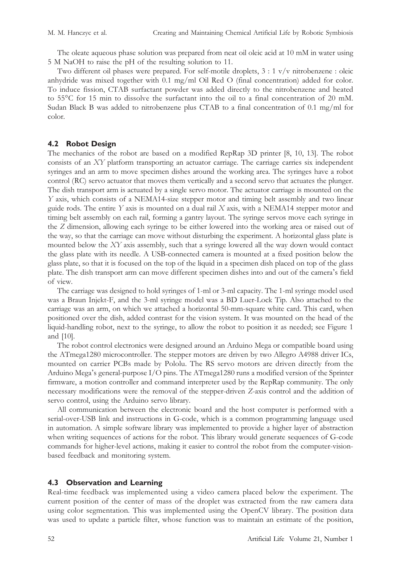The oleate aqueous phase solution was prepared from neat oil oleic acid at 10 mM in water using 5 M NaOH to raise the pH of the resulting solution to 11.

Two different oil phases were prepared. For self-motile droplets, 3 : 1 v/v nitrobenzene : oleic anhydride was mixed together with 0.1 mg/ml Oil Red O (final concentration) added for color. To induce fission, CTAB surfactant powder was added directly to the nitrobenzene and heated to 55°C for 15 min to dissolve the surfactant into the oil to a final concentration of 20 mM. Sudan Black B was added to nitrobenzene plus CTAB to a final concentration of 0.1 mg/ml for color.

#### 4.2 Robot Design

The mechanics of the robot are based on a modified RepRap 3D printer [8, 10, 13]. The robot consists of an XY platform transporting an actuator carriage. The carriage carries six independent syringes and an arm to move specimen dishes around the working area. The syringes have a robot control (RC) servo actuator that moves them vertically and a second servo that actuates the plunger. The dish transport arm is actuated by a single servo motor. The actuator carriage is mounted on the Y axis, which consists of a NEMA14-size stepper motor and timing belt assembly and two linear guide rods. The entire  $Y$  axis is mounted on a dual rail  $X$  axis, with a NEMA14 stepper motor and timing belt assembly on each rail, forming a gantry layout. The syringe servos move each syringe in the Z dimension, allowing each syringe to be either lowered into the working area or raised out of the way, so that the carriage can move without disturbing the experiment. A horizontal glass plate is mounted below the XY axis assembly, such that a syringe lowered all the way down would contact the glass plate with its needle. A USB-connected camera is mounted at a fixed position below the glass plate, so that it is focused on the top of the liquid in a specimen dish placed on top of the glass plate. The dish transport arm can move different specimen dishes into and out of the camera's field of view.

The carriage was designed to hold syringes of 1-ml or 3-ml capacity. The 1-ml syringe model used was a Braun Injekt-F, and the 3-ml syringe model was a BD Luer-Lock Tip. Also attached to the carriage was an arm, on which we attached a horizontal 50-mm-square white card. This card, when positioned over the dish, added contrast for the vision system. It was mounted on the head of the liquid-handling robot, next to the syringe, to allow the robot to position it as needed; see Figure 1 and [10].

The robot control electronics were designed around an Arduino Mega or compatible board using the ATmega1280 microcontroller. The stepper motors are driven by two Allegro A4988 driver ICs, mounted on carrier PCBs made by Pololu. The RS servo motors are driven directly from the Arduino Mega's general-purpose I/O pins. The ATmega1280 runs a modified version of the Sprinter firmware, a motion controller and command interpreter used by the RepRap community. The only necessary modifications were the removal of the stepper-driven Z-axis control and the addition of servo control, using the Arduino servo library.

All communication between the electronic board and the host computer is performed with a serial-over-USB link and instructions in G-code, which is a common programming language used in automation. A simple software library was implemented to provide a higher layer of abstraction when writing sequences of actions for the robot. This library would generate sequences of G-code commands for higher-level actions, making it easier to control the robot from the computer-visionbased feedback and monitoring system.

#### 4.3 Observation and Learning

Real-time feedback was implemented using a video camera placed below the experiment. The current position of the center of mass of the droplet was extracted from the raw camera data using color segmentation. This was implemented using the OpenCV library. The position data was used to update a particle filter, whose function was to maintain an estimate of the position,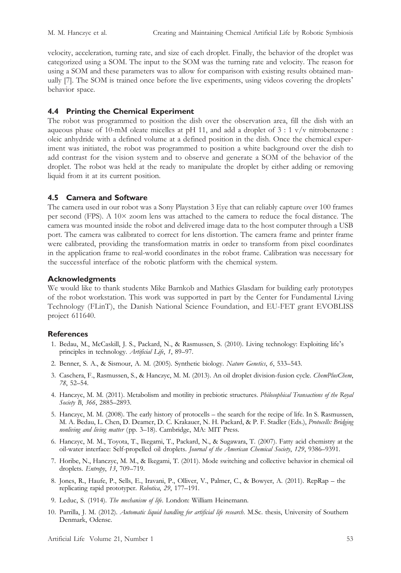velocity, acceleration, turning rate, and size of each droplet. Finally, the behavior of the droplet was categorized using a SOM. The input to the SOM was the turning rate and velocity. The reason for using a SOM and these parameters was to allow for comparison with existing results obtained manually [7]. The SOM is trained once before the live experiments, using videos covering the droplets' behavior space.

## 4.4 Printing the Chemical Experiment

The robot was programmed to position the dish over the observation area, fill the dish with an aqueous phase of 10-mM oleate micelles at pH 11, and add a droplet of  $3:1$  v/v nitrobenzene : oleic anhydride with a defined volume at a defined position in the dish. Once the chemical experiment was initiated, the robot was programmed to position a white background over the dish to add contrast for the vision system and to observe and generate a SOM of the behavior of the droplet. The robot was held at the ready to manipulate the droplet by either adding or removing liquid from it at its current position.

## 4.5 Camera and Software

The camera used in our robot was a Sony Playstation 3 Eye that can reliably capture over 100 frames per second (FPS). A 10× zoom lens was attached to the camera to reduce the focal distance. The camera was mounted inside the robot and delivered image data to the host computer through a USB port. The camera was calibrated to correct for lens distortion. The camera frame and printer frame were calibrated, providing the transformation matrix in order to transform from pixel coordinates in the application frame to real-world coordinates in the robot frame. Calibration was necessary for the successful interface of the robotic platform with the chemical system.

## Acknowledgments

We would like to thank students Mike Barnkob and Mathies Glasdam for building early prototypes of the robot workstation. This work was supported in part by the Center for Fundamental Living Technology (FLinT), the Danish National Science Foundation, and EU-FET grant EVOBLISS project 611640.

## **References**

- 1. Bedau, M., McCaskill, J. S., Packard, N., & Rasmussen, S. (2010). Living technology: Exploiting life's principles in technology. Artificial Life, 1, 89-97.
- 2. Benner, S. A., & Sismour, A. M. (2005). Synthetic biology. Nature Genetics, 6, 533–543.
- 3. Caschera, F., Rasmussen, S., & Hanczyc, M. M. (2013). An oil droplet division-fusion cycle. ChemPlusChem, 78, 52–54.
- 4. Hanczyc, M. M. (2011). Metabolism and motility in prebiotic structures. Philosophical Transactions of the Royal Society B, 366, 2885-2893.
- 5. Hanczyc, M. M. (2008). The early history of protocells the search for the recipe of life. In S. Rasmussen, M. A. Bedau, L. Chen, D. Deamer, D. C. Krakauer, N. H. Packard, & P. F. Stadler (Eds.), Protocells: Bridging nonliving and living matter (pp. 3-18). Cambridge, MA: MIT Press.
- 6. Hanczyc, M. M., Toyota, T., Ikegami, T., Packard, N., & Sugawara, T. (2007). Fatty acid chemistry at the oil-water interface: Self-propelled oil droplets. Journal of the American Chemical Society, 129, 9386-9391.
- 7. Horibe, N., Hanczyc, M. M., & Ikegami, T. (2011). Mode switching and collective behavior in chemical oil droplets. Entropy, 13, 709–719.
- 8. Jones, R., Haufe, P., Sells, E., Iravani, P., Olliver, V., Palmer, C., & Bowyer, A. (2011). RepRap the replicating rapid prototyper. Robotica, 29, 177–191.
- 9. Leduc, S. (1914). The mechanism of life. London: William Heinemann.
- 10. Parrilla, J. M. (2012). Automatic liquid handling for artificial life research. M.Sc. thesis, University of Southern Denmark, Odense.